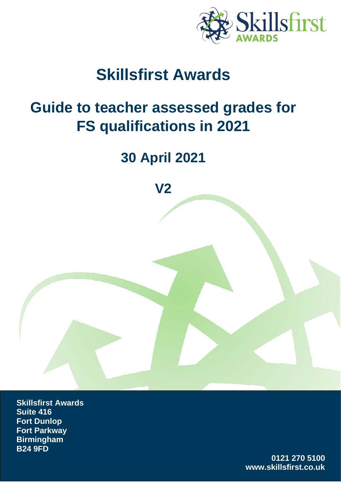

# **Skillsfirst Awards**

# **Guide to teacher assessed grades for FS qualifications in 2021**

# **30 April 2021**

**V2**

**Skillsfirst Awards Suite 416 Fort Dunlop Fort Parkway Birmingham B24 9FD** 

> **0121 270 5100 www.skillsfirst.co.uk**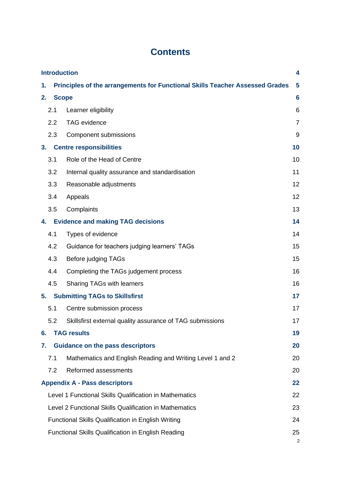## **Contents**

| <b>Introduction</b><br>4         |                                                                                   |                                                           |                |  |  |
|----------------------------------|-----------------------------------------------------------------------------------|-----------------------------------------------------------|----------------|--|--|
| 1.                               | Principles of the arrangements for Functional Skills Teacher Assessed Grades<br>5 |                                                           |                |  |  |
| 2.                               | $6\phantom{1}6$<br><b>Scope</b>                                                   |                                                           |                |  |  |
|                                  | 2.1                                                                               | Learner eligibility                                       | 6              |  |  |
|                                  | 2.2                                                                               | <b>TAG</b> evidence                                       | $\overline{7}$ |  |  |
|                                  | 2.3                                                                               | Component submissions                                     | 9              |  |  |
| 3.                               |                                                                                   | <b>Centre responsibilities</b>                            | 10             |  |  |
|                                  | 3.1                                                                               | Role of the Head of Centre                                | 10             |  |  |
|                                  | 3.2                                                                               | Internal quality assurance and standardisation            | 11             |  |  |
|                                  | 3.3                                                                               | Reasonable adjustments                                    | 12             |  |  |
|                                  | 3.4                                                                               | Appeals                                                   | 12             |  |  |
|                                  | 3.5                                                                               | Complaints                                                | 13             |  |  |
| 4.                               |                                                                                   | <b>Evidence and making TAG decisions</b>                  | 14             |  |  |
|                                  | 4.1                                                                               | Types of evidence                                         | 14             |  |  |
|                                  | 4.2                                                                               | Guidance for teachers judging learners' TAGs              | 15             |  |  |
|                                  | 4.3                                                                               | Before judging TAGs                                       | 15             |  |  |
|                                  | 4.4                                                                               | Completing the TAGs judgement process                     | 16             |  |  |
|                                  | 4.5                                                                               | Sharing TAGs with learners                                | 16             |  |  |
| 5.                               |                                                                                   | <b>Submitting TAGs to Skillsfirst</b>                     | 17             |  |  |
| 5.1<br>Centre submission process |                                                                                   |                                                           | 17             |  |  |
|                                  | 5.2                                                                               | Skillsfirst external quality assurance of TAG submissions | 17             |  |  |
| 6.                               |                                                                                   | <b>TAG results</b>                                        | 19             |  |  |
| 7.                               |                                                                                   | <b>Guidance on the pass descriptors</b>                   | 20             |  |  |
|                                  | 7.1                                                                               | Mathematics and English Reading and Writing Level 1 and 2 | 20             |  |  |
|                                  | 7.2                                                                               | Reformed assessments                                      | 20             |  |  |
|                                  | 22<br><b>Appendix A - Pass descriptors</b>                                        |                                                           |                |  |  |
|                                  | Level 1 Functional Skills Qualification in Mathematics<br>22                      |                                                           |                |  |  |
|                                  | Level 2 Functional Skills Qualification in Mathematics<br>23                      |                                                           |                |  |  |
|                                  | <b>Functional Skills Qualification in English Writing</b><br>24                   |                                                           |                |  |  |
|                                  | <b>Functional Skills Qualification in English Reading</b><br>25<br>2              |                                                           |                |  |  |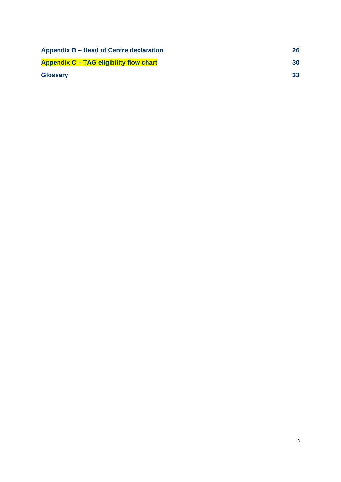| Appendix B - Head of Centre declaration        | 26 |
|------------------------------------------------|----|
| <b>Appendix C - TAG eligibility flow chart</b> | 30 |
| <b>Glossary</b>                                | 33 |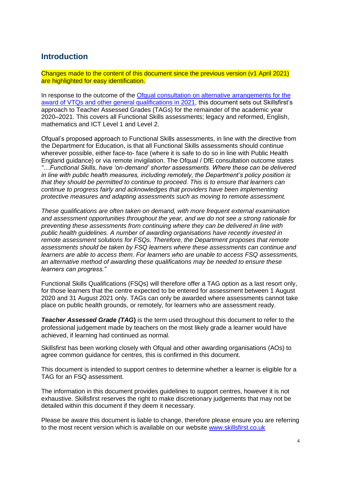### <span id="page-3-0"></span>**Introduction**

Changes made to the content of this document since the previous version (v1 April 2021) are highlighted for easy identification.

In response to the outcome of the Ofqual consultation on alternative arrangements for the [award of VTQs and other general qualifications in 2021,](https://www.gov.uk/government/consultations/consultation-on-alternative-arrangements-for-the-award-of-vtqs-and-other-general-qualifications-in-2021) this document sets out Skillsfirst's approach to Teacher Assessed Grades (TAGs) for the remainder of the academic year 2020–2021. This covers all Functional Skills assessments; legacy and reformed, English, mathematics and ICT Level 1 and Level 2.

Ofqual's proposed approach to Functional Skills assessments, in line with the directive from the Department for Education, is that all Functional Skills assessments should continue wherever possible, either face-to- face (where it is safe to do so in line with Public Health England guidance) or via remote invigilation. The Ofqual / DfE consultation outcome states *"…Functional Skills, have 'on-demand' shorter assessments. Where these can be delivered in line with public health measures, including remotely, the Department's policy position is that they should be permitted to continue to proceed. This is to ensure that learners can continue to progress fairly and acknowledges that providers have been implementing protective measures and adapting assessments such as moving to remote assessment.* 

*These qualifications are often taken on demand, with more frequent external examination and assessment opportunities throughout the year, and we do not see a strong rationale for preventing these assessments from continuing where they can be delivered in line with public health guidelines. A number of awarding organisations have recently invested in remote assessment solutions for FSQs. Therefore, the Department proposes that remote assessments should be taken by FSQ learners where these assessments can continue and learners are able to access them. For learners who are unable to access FSQ assessments, an alternative method of awarding these qualifications may be needed to ensure these learners can progress."*

Functional Skills Qualifications (FSQs) will therefore offer a TAG option as a last resort only, for those learners that the centre expected to be entered for assessment between 1 August 2020 and 31 August 2021 only. TAGs can only be awarded where assessments cannot take place on public health grounds, or remotely, for learners who are assessment ready.

**Teacher Assessed Grade (TAG)** is the term used throughout this document to refer to the professional judgement made by teachers on the most likely grade a learner would have achieved, if learning had continued as normal.

Skillsfirst has been working closely with Ofqual and other awarding organisations (AOs) to agree common guidance for centres, this is confirmed in this document.

This document is intended to support centres to determine whether a learner is eligible for a TAG for an FSQ assessment.

The information in this document provides guidelines to support centres, however it is not exhaustive. Skillsfirst reserves the right to make discretionary judgements that may not be detailed within this document if they deem it necessary.

Please be aware this document is liable to change, therefore please ensure you are referring to the most recent version which is available on our website [www.skillsfirst.co.uk](http://www.skillsfirst.co.uk/)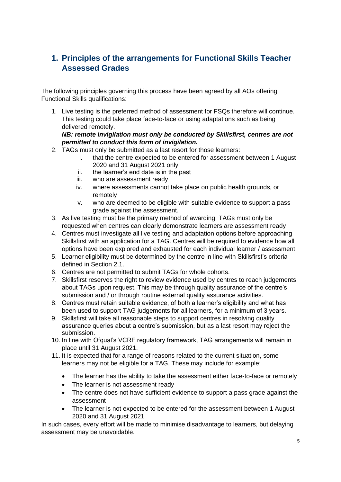### <span id="page-4-0"></span>**1. Principles of the arrangements for Functional Skills Teacher Assessed Grades**

The following principles governing this process have been agreed by all AOs offering Functional Skills qualifications:

1. Live testing is the preferred method of assessment for FSQs therefore will continue. This testing could take place face-to-face or using adaptations such as being delivered remotely.

#### *NB: remote invigilation must only be conducted by Skillsfirst, centres are not permitted to conduct this form of invigilation.*

- 2. TAGs must only be submitted as a last resort for those learners:
	- i. that the centre expected to be entered for assessment between 1 August 2020 and 31 August 2021 only
	- ii. the learner's end date is in the past
	- iii. who are assessment ready
	- iv. where assessments cannot take place on public health grounds, or remotely
	- v. who are deemed to be eligible with suitable evidence to support a pass grade against the assessment.
- 3. As live testing must be the primary method of awarding, TAGs must only be requested when centres can clearly demonstrate learners are assessment ready
- 4. Centres must investigate all live testing and adaptation options before approaching Skillsfirst with an application for a TAG. Centres will be required to evidence how all options have been explored and exhausted for each individual learner / assessment.
- 5. Learner eligibility must be determined by the centre in line with Skillsfirst's criteria defined in Section 2.1.
- 6. Centres are not permitted to submit TAGs for whole cohorts.
- 7. Skillsfirst reserves the right to review evidence used by centres to reach judgements about TAGs upon request. This may be through quality assurance of the centre's submission and / or through routine external quality assurance activities.
- 8. Centres must retain suitable evidence, of both a learner's eligibility and what has been used to support TAG judgements for all learners, for a minimum of 3 years.
- 9. Skillsfirst will take all reasonable steps to support centres in resolving quality assurance queries about a centre's submission, but as a last resort may reject the submission.
- 10. In line with Ofqual's VCRF regulatory framework, TAG arrangements will remain in place until 31 August 2021.
- 11. It is expected that for a range of reasons related to the current situation, some learners may not be eligible for a TAG. These may include for example:
	- The learner has the ability to take the assessment either face-to-face or remotely
	- The learner is not assessment ready
	- The centre does not have sufficient evidence to support a pass grade against the assessment
	- The learner is not expected to be entered for the assessment between 1 August 2020 and 31 August 2021

In such cases, every effort will be made to minimise disadvantage to learners, but delaying assessment may be unavoidable.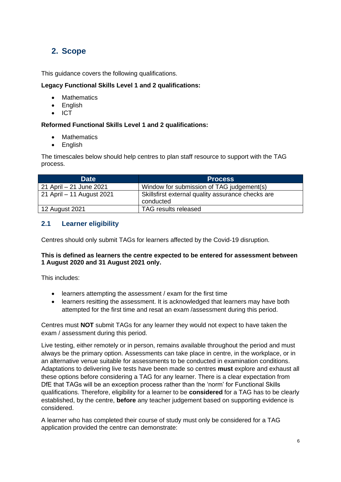### <span id="page-5-0"></span>**2. Scope**

This guidance covers the following qualifications.

### **Legacy Functional Skills Level 1 and 2 qualifications:**

- **Mathematics**
- English
- ICT

### **Reformed Functional Skills Level 1 and 2 qualifications:**

- **Mathematics**
- English

The timescales below should help centres to plan staff resource to support with the TAG process.

| <b>Date</b>               | <b>Process</b>                                                 |
|---------------------------|----------------------------------------------------------------|
| 21 April – 21 June 2021   | Window for submission of TAG judgement(s)                      |
| 21 April – 11 August 2021 | Skillsfirst external quality assurance checks are<br>conducted |
| 12 August 2021            | TAG results released                                           |

### <span id="page-5-1"></span>**2.1 Learner eligibility**

Centres should only submit TAGs for learners affected by the Covid-19 disruption.

#### **This is defined as learners the centre expected to be entered for assessment between 1 August 2020 and 31 August 2021 only.**

This includes:

- learners attempting the assessment / exam for the first time
- learners resitting the assessment. It is acknowledged that learners may have both attempted for the first time and resat an exam /assessment during this period.

Centres must **NOT** submit TAGs for any learner they would not expect to have taken the exam / assessment during this period.

Live testing, either remotely or in person, remains available throughout the period and must always be the primary option. Assessments can take place in centre, in the workplace, or in an alternative venue suitable for assessments to be conducted in examination conditions. Adaptations to delivering live tests have been made so centres **must** explore and exhaust all these options before considering a TAG for any learner. There is a clear expectation from DfE that TAGs will be an exception process rather than the 'norm' for Functional Skills qualifications. Therefore, eligibility for a learner to be **considered** for a TAG has to be clearly established, by the centre, **before** any teacher judgement based on supporting evidence is considered.

A learner who has completed their course of study must only be considered for a TAG application provided the centre can demonstrate: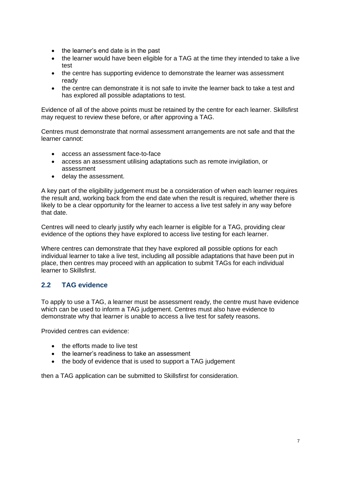- the learner's end date is in the past
- the learner would have been eligible for a TAG at the time they intended to take a live test
- the centre has supporting evidence to demonstrate the learner was assessment ready
- the centre can demonstrate it is not safe to invite the learner back to take a test and has explored all possible adaptations to test.

Evidence of all of the above points must be retained by the centre for each learner. Skillsfirst may request to review these before, or after approving a TAG.

Centres must demonstrate that normal assessment arrangements are not safe and that the learner cannot:

- access an assessment face-to-face
- access an assessment utilising adaptations such as remote invigilation, or assessment
- delay the assessment.

A key part of the eligibility judgement must be a consideration of when each learner requires the result and, working back from the end date when the result is required, whether there is likely to be a clear opportunity for the learner to access a live test safely in any way before that date.

Centres will need to clearly justify why each learner is eligible for a TAG, providing clear evidence of the options they have explored to access live testing for each learner.

Where centres can demonstrate that they have explored all possible options for each individual learner to take a live test, including all possible adaptations that have been put in place, then centres may proceed with an application to submit TAGs for each individual learner to Skillsfirst.

### <span id="page-6-0"></span>**2.2 TAG evidence**

To apply to use a TAG, a learner must be assessment ready, the centre must have evidence which can be used to inform a TAG judgement. Centres must also have evidence to demonstrate why that learner is unable to access a live test for safety reasons.

Provided centres can evidence:

- the efforts made to live test
- the learner's readiness to take an assessment
- the body of evidence that is used to support a TAG judgement

then a TAG application can be submitted to Skillsfirst for consideration.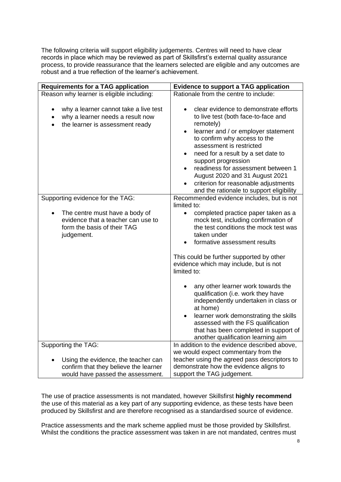The following criteria will support eligibility judgements. Centres will need to have clear records in place which may be reviewed as part of Skillsfirst's external quality assurance process, to provide reassurance that the learners selected are eligible and any outcomes are robust and a true reflection of the learner's achievement.

| <b>Requirements for a TAG application</b>                                                                                              | <b>Evidence to support a TAG application</b>                                                                                                                                                                                                                                                                                                                                                                                                                 |  |  |  |
|----------------------------------------------------------------------------------------------------------------------------------------|--------------------------------------------------------------------------------------------------------------------------------------------------------------------------------------------------------------------------------------------------------------------------------------------------------------------------------------------------------------------------------------------------------------------------------------------------------------|--|--|--|
| Reason why learner is eligible including:                                                                                              | Rationale from the centre to include:                                                                                                                                                                                                                                                                                                                                                                                                                        |  |  |  |
| why a learner cannot take a live test<br>why a learner needs a result now<br>$\bullet$<br>the learner is assessment ready<br>$\bullet$ | clear evidence to demonstrate efforts<br>$\bullet$<br>to live test (both face-to-face and<br>remotely)<br>learner and / or employer statement<br>$\bullet$<br>to confirm why access to the<br>assessment is restricted<br>need for a result by a set date to<br>$\bullet$<br>support progression<br>readiness for assessment between 1<br>August 2020 and 31 August 2021<br>criterion for reasonable adjustments<br>and the rationale to support eligibility |  |  |  |
| Supporting evidence for the TAG:                                                                                                       | Recommended evidence includes, but is not                                                                                                                                                                                                                                                                                                                                                                                                                    |  |  |  |
|                                                                                                                                        | limited to:                                                                                                                                                                                                                                                                                                                                                                                                                                                  |  |  |  |
| The centre must have a body of<br>evidence that a teacher can use to<br>form the basis of their TAG<br>judgement.                      | completed practice paper taken as a<br>$\bullet$<br>mock test, including confirmation of<br>the test conditions the mock test was<br>taken under<br>formative assessment results<br>$\bullet$                                                                                                                                                                                                                                                                |  |  |  |
|                                                                                                                                        |                                                                                                                                                                                                                                                                                                                                                                                                                                                              |  |  |  |
|                                                                                                                                        | This could be further supported by other<br>evidence which may include, but is not<br>limited to:                                                                                                                                                                                                                                                                                                                                                            |  |  |  |
|                                                                                                                                        | any other learner work towards the<br>qualification (i.e. work they have<br>independently undertaken in class or<br>at home)                                                                                                                                                                                                                                                                                                                                 |  |  |  |
|                                                                                                                                        | learner work demonstrating the skills<br>assessed with the FS qualification<br>that has been completed in support of<br>another qualification learning aim                                                                                                                                                                                                                                                                                                   |  |  |  |
| Supporting the TAG:                                                                                                                    | In addition to the evidence described above,                                                                                                                                                                                                                                                                                                                                                                                                                 |  |  |  |
|                                                                                                                                        | we would expect commentary from the                                                                                                                                                                                                                                                                                                                                                                                                                          |  |  |  |
| Using the evidence, the teacher can                                                                                                    | teacher using the agreed pass descriptors to                                                                                                                                                                                                                                                                                                                                                                                                                 |  |  |  |
| confirm that they believe the learner                                                                                                  | demonstrate how the evidence aligns to                                                                                                                                                                                                                                                                                                                                                                                                                       |  |  |  |
| would have passed the assessment.                                                                                                      | support the TAG judgement.                                                                                                                                                                                                                                                                                                                                                                                                                                   |  |  |  |

The use of practice assessments is not mandated, however Skillsfirst **highly recommend**  the use of this material as a key part of any supporting evidence, as these tests have been produced by Skillsfirst and are therefore recognised as a standardised source of evidence.

Practice assessments and the mark scheme applied must be those provided by Skillsfirst. Whilst the conditions the practice assessment was taken in are not mandated, centres must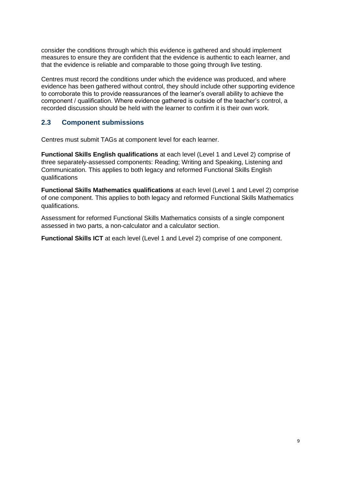consider the conditions through which this evidence is gathered and should implement measures to ensure they are confident that the evidence is authentic to each learner, and that the evidence is reliable and comparable to those going through live testing.

Centres must record the conditions under which the evidence was produced, and where evidence has been gathered without control, they should include other supporting evidence to corroborate this to provide reassurances of the learner's overall ability to achieve the component / qualification. Where evidence gathered is outside of the teacher's control, a recorded discussion should be held with the learner to confirm it is their own work.

### <span id="page-8-0"></span>**2.3 Component submissions**

Centres must submit TAGs at component level for each learner.

**Functional Skills English qualifications** at each level (Level 1 and Level 2) comprise of three separately-assessed components: Reading; Writing and Speaking, Listening and Communication. This applies to both legacy and reformed Functional Skills English qualifications

**Functional Skills Mathematics qualifications** at each level (Level 1 and Level 2) comprise of one component. This applies to both legacy and reformed Functional Skills Mathematics qualifications.

Assessment for reformed Functional Skills Mathematics consists of a single component assessed in two parts, a non-calculator and a calculator section.

**Functional Skills ICT** at each level (Level 1 and Level 2) comprise of one component.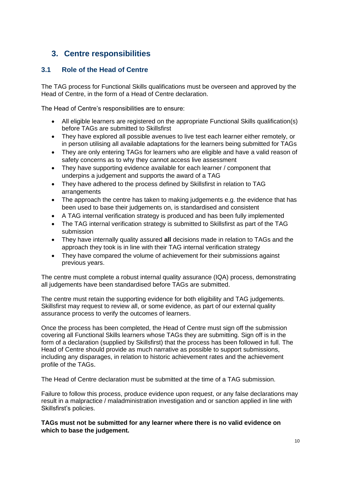### <span id="page-9-0"></span>**3. Centre responsibilities**

### <span id="page-9-1"></span>**3.1 Role of the Head of Centre**

The TAG process for Functional Skills qualifications must be overseen and approved by the Head of Centre, in the form of a Head of Centre declaration.

The Head of Centre's responsibilities are to ensure:

- All eligible learners are registered on the appropriate Functional Skills qualification(s) before TAGs are submitted to Skillsfirst
- They have explored all possible avenues to live test each learner either remotely, or in person utilising all available adaptations for the learners being submitted for TAGs
- They are only entering TAGs for learners who are eligible and have a valid reason of safety concerns as to why they cannot access live assessment
- They have supporting evidence available for each learner / component that underpins a judgement and supports the award of a TAG
- They have adhered to the process defined by Skillsfirst in relation to TAG arrangements
- The approach the centre has taken to making judgements e.g. the evidence that has been used to base their judgements on, is standardised and consistent
- A TAG internal verification strategy is produced and has been fully implemented
- The TAG internal verification strategy is submitted to Skillsfirst as part of the TAG submission
- They have internally quality assured **all** decisions made in relation to TAGs and the approach they took is in line with their TAG internal verification strategy
- They have compared the volume of achievement for their submissions against previous years.

The centre must complete a robust internal quality assurance (IQA) process, demonstrating all judgements have been standardised before TAGs are submitted.

The centre must retain the supporting evidence for both eligibility and TAG judgements. Skillsfirst may request to review all, or some evidence, as part of our external quality assurance process to verify the outcomes of learners.

Once the process has been completed, the Head of Centre must sign off the submission covering all Functional Skills learners whose TAGs they are submitting. Sign off is in the form of a declaration (supplied by Skillsfirst) that the process has been followed in full. The Head of Centre should provide as much narrative as possible to support submissions, including any disparages, in relation to historic achievement rates and the achievement profile of the TAGs.

The Head of Centre declaration must be submitted at the time of a TAG submission.

Failure to follow this process, produce evidence upon request, or any false declarations may result in a malpractice / maladministration investigation and or sanction applied in line with Skillsfirst's policies.

**TAGs must not be submitted for any learner where there is no valid evidence on which to base the judgement.**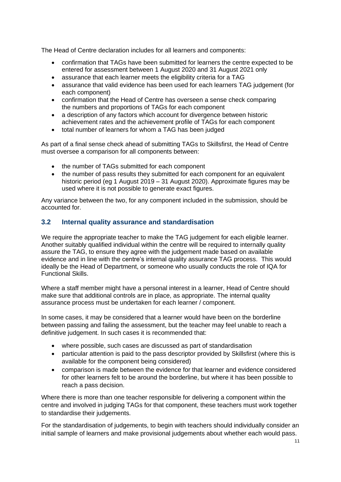The Head of Centre declaration includes for all learners and components:

- confirmation that TAGs have been submitted for learners the centre expected to be entered for assessment between 1 August 2020 and 31 August 2021 only
- assurance that each learner meets the eligibility criteria for a TAG
- assurance that valid evidence has been used for each learners TAG judgement (for each component)
- confirmation that the Head of Centre has overseen a sense check comparing the numbers and proportions of TAGs for each component
- a description of any factors which account for divergence between historic achievement rates and the achievement profile of TAGs for each component
- total number of learners for whom a TAG has been judged

As part of a final sense check ahead of submitting TAGs to Skillsfirst, the Head of Centre must oversee a comparison for all components between:

- the number of TAGs submitted for each component
- the number of pass results they submitted for each component for an equivalent historic period (eg 1 August 2019 – 31 August 2020). Approximate figures may be used where it is not possible to generate exact figures.

Any variance between the two, for any component included in the submission, should be accounted for.

### <span id="page-10-0"></span>**3.2 Internal quality assurance and standardisation**

We require the appropriate teacher to make the TAG judgement for each eligible learner. Another suitably qualified individual within the centre will be required to internally quality assure the TAG, to ensure they agree with the judgement made based on available evidence and in line with the centre's internal quality assurance TAG process. This would ideally be the Head of Department, or someone who usually conducts the role of IQA for Functional Skills.

Where a staff member might have a personal interest in a learner, Head of Centre should make sure that additional controls are in place, as appropriate. The internal quality assurance process must be undertaken for each learner / component.

In some cases, it may be considered that a learner would have been on the borderline between passing and failing the assessment, but the teacher may feel unable to reach a definitive judgement. In such cases it is recommended that:

- where possible, such cases are discussed as part of standardisation
- particular attention is paid to the pass descriptor provided by Skillsfirst (where this is available for the component being considered)
- comparison is made between the evidence for that learner and evidence considered for other learners felt to be around the borderline, but where it has been possible to reach a pass decision.

Where there is more than one teacher responsible for delivering a component within the centre and involved in judging TAGs for that component, these teachers must work together to standardise their judgements.

For the standardisation of judgements, to begin with teachers should individually consider an initial sample of learners and make provisional judgements about whether each would pass.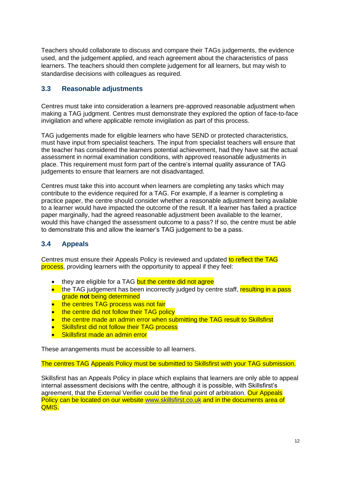Teachers should collaborate to discuss and compare their TAGs judgements, the evidence used, and the judgement applied, and reach agreement about the characteristics of pass learners. The teachers should then complete judgement for all learners, but may wish to standardise decisions with colleagues as required.

### <span id="page-11-0"></span>**3.3 Reasonable adjustments**

Centres must take into consideration a learners pre-approved reasonable adjustment when making a TAG judgment. Centres must demonstrate they explored the option of face-to-face invigilation and where applicable remote invigilation as part of this process.

TAG judgements made for eligible learners who have SEND or protected characteristics, must have input from specialist teachers. The input from specialist teachers will ensure that the teacher has considered the learners potential achievement, had they have sat the actual assessment in normal examination conditions, with approved reasonable adjustments in place. This requirement must form part of the centre's internal quality assurance of TAG judgements to ensure that learners are not disadvantaged.

Centres must take this into account when learners are completing any tasks which may contribute to the evidence required for a TAG. For example, if a learner is completing a practice paper, the centre should consider whether a reasonable adjustment being available to a learner would have impacted the outcome of the result. If a learner has failed a practice paper marginally, had the agreed reasonable adjustment been available to the learner, would this have changed the assessment outcome to a pass? If so, the centre must be able to demonstrate this and allow the learner's TAG judgement to be a pass.

### <span id="page-11-1"></span>**3.4 Appeals**

Centres must ensure their Appeals Policy is reviewed and updated to reflect the TAG process, providing learners with the opportunity to appeal if they feel:

- they are eligible for a TAG but the centre did not agree
- the TAG judgement has been incorrectly judged by centre staff, resulting in a pass grade **not** being determined
- the centres TAG process was not fair
- the centre did not follow their TAG policy
- the centre made an admin error when submitting the TAG result to Skillsfirst
- **Skillsfirst did not follow their TAG process**
- Skillsfirst made an admin error

These arrangements must be accessible to all learners.

The centres TAG Appeals Policy must be submitted to Skillsfirst with your TAG submission.

Skillsfirst has an Appeals Policy in place which explains that learners are only able to appeal internal assessment decisions with the centre, although it is possible, with Skillsfirst's agreement, that the External Verifier could be the final point of arbitration. Our Appeals Policy can be located on our website [www.skillsfirst.co.uk](http://www.skillsfirst.co.uk/) and in the documents area of QMIS.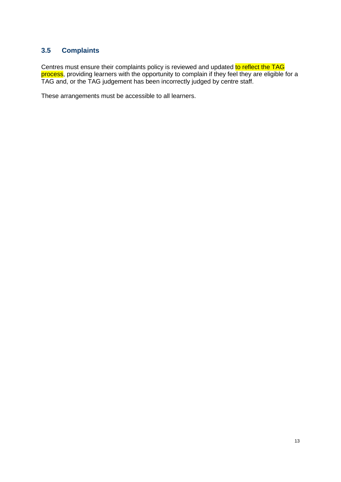### <span id="page-12-0"></span>**3.5 Complaints**

Centres must ensure their complaints policy is reviewed and updated to reflect the TAG process, providing learners with the opportunity to complain if they feel they are eligible for a TAG and, or the TAG judgement has been incorrectly judged by centre staff.

These arrangements must be accessible to all learners.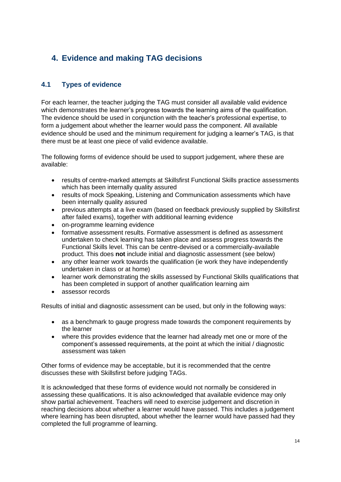## <span id="page-13-0"></span>**4. Evidence and making TAG decisions**

### <span id="page-13-1"></span>**4.1 Types of evidence**

For each learner, the teacher judging the TAG must consider all available valid evidence which demonstrates the learner's progress towards the learning aims of the qualification. The evidence should be used in conjunction with the teacher's professional expertise, to form a judgement about whether the learner would pass the component. All available evidence should be used and the minimum requirement for judging a learner's TAG, is that there must be at least one piece of valid evidence available.

The following forms of evidence should be used to support judgement, where these are available:

- results of centre-marked attempts at Skillsfirst Functional Skills practice assessments which has been internally quality assured
- results of mock Speaking, Listening and Communication assessments which have been internally quality assured
- previous attempts at a live exam (based on feedback previously supplied by Skillsfirst after failed exams), together with additional learning evidence
- on-programme learning evidence
- formative assessment results. Formative assessment is defined as assessment undertaken to check learning has taken place and assess progress towards the Functional Skills level. This can be centre-devised or a commercially-available product. This does **not** include initial and diagnostic assessment (see below)
- any other learner work towards the qualification (ie work they have independently undertaken in class or at home)
- learner work demonstrating the skills assessed by Functional Skills qualifications that has been completed in support of another qualification learning aim
- assessor records

Results of initial and diagnostic assessment can be used, but only in the following ways:

- as a benchmark to gauge progress made towards the component requirements by the learner
- where this provides evidence that the learner had already met one or more of the component's assessed requirements, at the point at which the initial / diagnostic assessment was taken

Other forms of evidence may be acceptable, but it is recommended that the centre discusses these with Skillsfirst before judging TAGs.

It is acknowledged that these forms of evidence would not normally be considered in assessing these qualifications. It is also acknowledged that available evidence may only show partial achievement. Teachers will need to exercise judgement and discretion in reaching decisions about whether a learner would have passed. This includes a judgement where learning has been disrupted, about whether the learner would have passed had they completed the full programme of learning.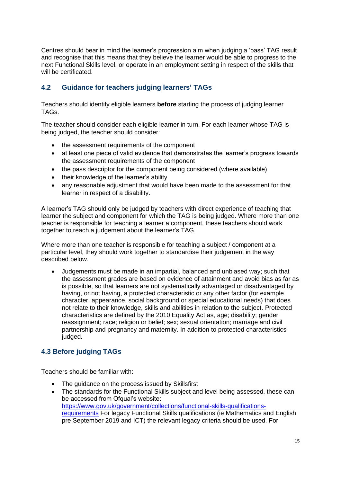Centres should bear in mind the learner's progression aim when judging a 'pass' TAG result and recognise that this means that they believe the learner would be able to progress to the next Functional Skills level, or operate in an employment setting in respect of the skills that will be certificated.

### <span id="page-14-0"></span>**4.2 Guidance for teachers judging learners' TAGs**

Teachers should identify eligible learners **before** starting the process of judging learner TAGs.

The teacher should consider each eligible learner in turn. For each learner whose TAG is being judged, the teacher should consider:

- the assessment requirements of the component
- at least one piece of valid evidence that demonstrates the learner's progress towards the assessment requirements of the component
- the pass descriptor for the component being considered (where available)
- their knowledge of the learner's ability
- any reasonable adjustment that would have been made to the assessment for that learner in respect of a disability.

A learner's TAG should only be judged by teachers with direct experience of teaching that learner the subject and component for which the TAG is being judged. Where more than one teacher is responsible for teaching a learner a component, these teachers should work together to reach a judgement about the learner's TAG.

Where more than one teacher is responsible for teaching a subject / component at a particular level, they should work together to standardise their judgement in the way described below.

• Judgements must be made in an impartial, balanced and unbiased way; such that the assessment grades are based on evidence of attainment and avoid bias as far as is possible, so that learners are not systematically advantaged or disadvantaged by having, or not having, a protected characteristic or any other factor (for example character, appearance, social background or special educational needs) that does not relate to their knowledge, skills and abilities in relation to the subject. Protected characteristics are defined by the 2010 Equality Act as, age; disability; gender reassignment; race; religion or belief; sex; sexual orientation; marriage and civil partnership and pregnancy and maternity. In addition to protected characteristics judged.

### <span id="page-14-1"></span>**4.3 Before judging TAGs**

Teachers should be familiar with:

- The guidance on the process issued by Skillsfirst
- The standards for the Functional Skills subject and level being assessed, these can be accessed from Ofqual's website: [https://www.gov.uk/government/collections/functional-skills-qualifications](https://www.gov.uk/government/collections/functional-skills-qualifications-requirements)[requirements](https://www.gov.uk/government/collections/functional-skills-qualifications-requirements) For legacy Functional Skills qualifications (ie Mathematics and English pre September 2019 and ICT) the relevant legacy criteria should be used. For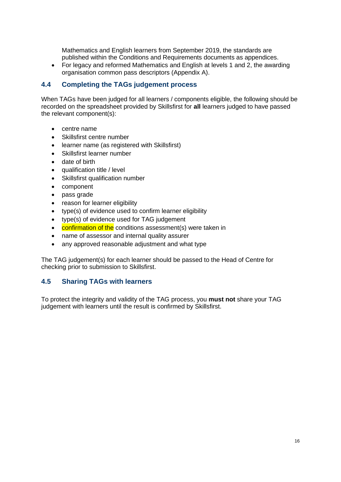Mathematics and English learners from September 2019, the standards are published within the Conditions and Requirements documents as appendices.

• For legacy and reformed Mathematics and English at levels 1 and 2, the awarding organisation common pass descriptors (Appendix A).

#### <span id="page-15-0"></span>**4.4 Completing the TAGs judgement process**

When TAGs have been judged for all learners / components eligible, the following should be recorded on the spreadsheet provided by Skillsfirst for **all** learners judged to have passed the relevant component(s):

- centre name
- Skillsfirst centre number
- learner name (as registered with Skillsfirst)
- Skillsfirst learner number
- date of birth
- qualification title / level
- Skillsfirst qualification number
- component
- pass grade
- reason for learner eligibility
- type(s) of evidence used to confirm learner eligibility
- type(s) of evidence used for TAG judgement
- confirmation of the conditions assessment(s) were taken in
- name of assessor and internal quality assurer
- any approved reasonable adjustment and what type

The TAG judgement(s) for each learner should be passed to the Head of Centre for checking prior to submission to Skillsfirst.

#### <span id="page-15-1"></span>**4.5 Sharing TAGs with learners**

To protect the integrity and validity of the TAG process, you **must not** share your TAG judgement with learners until the result is confirmed by Skillsfirst.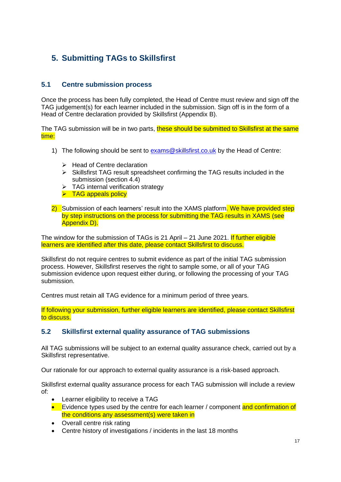## <span id="page-16-0"></span>**5. Submitting TAGs to Skillsfirst**

### <span id="page-16-1"></span>**5.1 Centre submission process**

Once the process has been fully completed, the Head of Centre must review and sign off the TAG judgement(s) for each learner included in the submission. Sign off is in the form of a Head of Centre declaration provided by Skillsfirst (Appendix B).

The TAG submission will be in two parts, these should be submitted to Skillsfirst at the same time:

- 1) The following should be sent to [exams@skillsfirst.co.uk](mailto:exams@skillsfirst.co.uk) by the Head of Centre:
	- ➢ Head of Centre declaration
	- ➢ Skillsfirst TAG result spreadsheet confirming the TAG results included in the submission (section 4.4)
	- ➢ TAG internal verification strategy
	- ➢ TAG appeals policy
- 2) Submission of each learners' result into the XAMS platform. We have provided step by step instructions on the process for submitting the TAG results in XAMS (see Appendix D).

The window for the submission of TAGs is 21 April – 21 June 2021. If further eligible learners are identified after this date, please contact Skillsfirst to discuss.

Skillsfirst do not require centres to submit evidence as part of the initial TAG submission process. However, Skillsfirst reserves the right to sample some, or all of your TAG submission evidence upon request either during, or following the processing of your TAG submission.

Centres must retain all TAG evidence for a minimum period of three years.

If following your submission, further eligible learners are identified, please contact Skillsfirst to discuss.

### <span id="page-16-2"></span>**5.2 Skillsfirst external quality assurance of TAG submissions**

All TAG submissions will be subject to an external quality assurance check, carried out by a Skillsfirst representative.

Our rationale for our approach to external quality assurance is a risk-based approach.

Skillsfirst external quality assurance process for each TAG submission will include a review of:

- Learner eligibility to receive a TAG
- Evidence types used by the centre for each learner / component and confirmation of the conditions any assessment(s) were taken in
- Overall centre risk rating
- Centre history of investigations / incidents in the last 18 months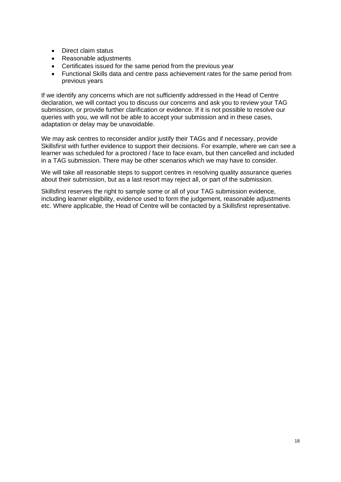- Direct claim status
- Reasonable adjustments
- Certificates issued for the same period from the previous year
- Functional Skills data and centre pass achievement rates for the same period from previous years

If we identify any concerns which are not sufficiently addressed in the Head of Centre declaration, we will contact you to discuss our concerns and ask you to review your TAG submission, or provide further clarification or evidence. If it is not possible to resolve our queries with you, we will not be able to accept your submission and in these cases, adaptation or delay may be unavoidable.

We may ask centres to reconsider and/or justify their TAGs and if necessary, provide Skillsfirst with further evidence to support their decisions. For example, where we can see a learner was scheduled for a proctored / face to face exam, but then cancelled and included in a TAG submission. There may be other scenarios which we may have to consider.

We will take all reasonable steps to support centres in resolving quality assurance queries about their submission, but as a last resort may reject all, or part of the submission.

Skillsfirst reserves the right to sample some or all of your TAG submission evidence, including learner eligibility, evidence used to form the judgement, reasonable adjustments etc. Where applicable, the Head of Centre will be contacted by a Skillsfirst representative.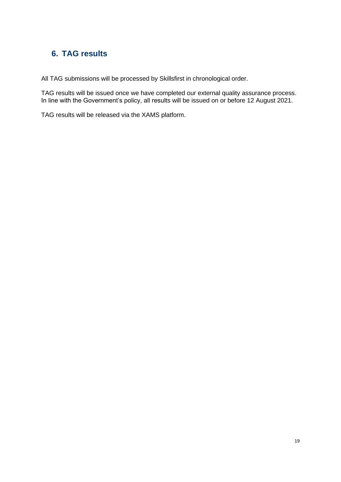### <span id="page-18-0"></span>**6. TAG results**

All TAG submissions will be processed by Skillsfirst in chronological order.

TAG results will be issued once we have completed our external quality assurance process. In line with the Government's policy, all results will be issued on or before 12 August 2021.

TAG results will be released via the XAMS platform.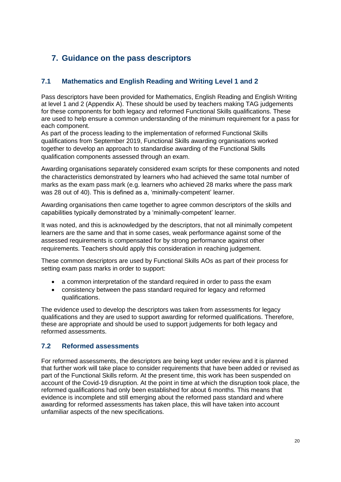### <span id="page-19-0"></span>**7. Guidance on the pass descriptors**

### <span id="page-19-1"></span>**7.1 Mathematics and English Reading and Writing Level 1 and 2**

Pass descriptors have been provided for Mathematics, English Reading and English Writing at level 1 and 2 (Appendix A). These should be used by teachers making TAG judgements for these components for both legacy and reformed Functional Skills qualifications. These are used to help ensure a common understanding of the minimum requirement for a pass for each component.

As part of the process leading to the implementation of reformed Functional Skills qualifications from September 2019, Functional Skills awarding organisations worked together to develop an approach to standardise awarding of the Functional Skills qualification components assessed through an exam.

Awarding organisations separately considered exam scripts for these components and noted the characteristics demonstrated by learners who had achieved the same total number of marks as the exam pass mark (e.g. learners who achieved 28 marks where the pass mark was 28 out of 40). This is defined as a, 'minimally-competent' learner.

Awarding organisations then came together to agree common descriptors of the skills and capabilities typically demonstrated by a 'minimally-competent' learner.

It was noted, and this is acknowledged by the descriptors, that not all minimally competent learners are the same and that in some cases, weak performance against some of the assessed requirements is compensated for by strong performance against other requirements. Teachers should apply this consideration in reaching judgement.

These common descriptors are used by Functional Skills AOs as part of their process for setting exam pass marks in order to support:

- a common interpretation of the standard required in order to pass the exam
- consistency between the pass standard required for legacy and reformed qualifications.

The evidence used to develop the descriptors was taken from assessments for legacy qualifications and they are used to support awarding for reformed qualifications. Therefore, these are appropriate and should be used to support judgements for both legacy and reformed assessments.

### <span id="page-19-2"></span>**7.2 Reformed assessments**

For reformed assessments, the descriptors are being kept under review and it is planned that further work will take place to consider requirements that have been added or revised as part of the Functional Skills reform. At the present time, this work has been suspended on account of the Covid-19 disruption. At the point in time at which the disruption took place, the reformed qualifications had only been established for about 6 months. This means that evidence is incomplete and still emerging about the reformed pass standard and where awarding for reformed assessments has taken place, this will have taken into account unfamiliar aspects of the new specifications.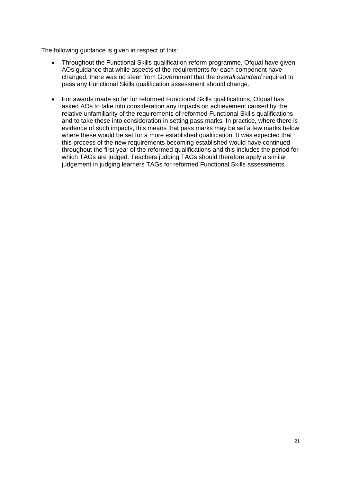The following guidance is given in respect of this:

- Throughout the Functional Skills qualification reform programme, Ofqual have given AOs guidance that while aspects of the requirements for each component have changed, there was no steer from Government that the *overall standard* required to pass any Functional Skills qualification assessment should change.
- For awards made so far for reformed Functional Skills qualifications, Ofqual has asked AOs to take into consideration any impacts on achievement caused by the relative unfamiliarity of the requirements of reformed Functional Skills qualifications and to take these into consideration in setting pass marks. In practice, where there is evidence of such impacts, this means that pass marks may be set a few marks below where these would be set for a more established qualification. It was expected that this process of the new requirements becoming established would have continued throughout the first year of the reformed qualifications and this includes the period for which TAGs are judged. Teachers judging TAGs should therefore apply a similar judgement in judging learners TAGs for reformed Functional Skills assessments.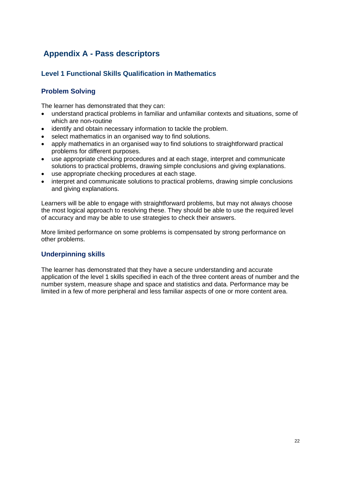### <span id="page-21-0"></span>**Appendix A - Pass descriptors**

### <span id="page-21-1"></span>**Level 1 Functional Skills Qualification in Mathematics**

### **Problem Solving**

The learner has demonstrated that they can:

- understand practical problems in familiar and unfamiliar contexts and situations, some of which are non-routine
- identify and obtain necessary information to tackle the problem.
- select mathematics in an organised way to find solutions.
- apply mathematics in an organised way to find solutions to straightforward practical problems for different purposes.
- use appropriate checking procedures and at each stage, interpret and communicate solutions to practical problems, drawing simple conclusions and giving explanations.
- use appropriate checking procedures at each stage.
- interpret and communicate solutions to practical problems, drawing simple conclusions and giving explanations.

Learners will be able to engage with straightforward problems, but may not always choose the most logical approach to resolving these. They should be able to use the required level of accuracy and may be able to use strategies to check their answers.

More limited performance on some problems is compensated by strong performance on other problems.

### **Underpinning skills**

The learner has demonstrated that they have a secure understanding and accurate application of the level 1 skills specified in each of the three content areas of number and the number system, measure shape and space and statistics and data. Performance may be limited in a few of more peripheral and less familiar aspects of one or more content area.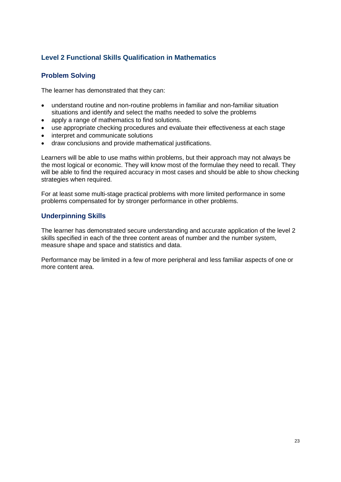### <span id="page-22-0"></span>**Level 2 Functional Skills Qualification in Mathematics**

### **Problem Solving**

The learner has demonstrated that they can:

- understand routine and non-routine problems in familiar and non-familiar situation situations and identify and select the maths needed to solve the problems
- apply a range of mathematics to find solutions.
- use appropriate checking procedures and evaluate their effectiveness at each stage
- interpret and communicate solutions
- draw conclusions and provide mathematical justifications.

Learners will be able to use maths within problems, but their approach may not always be the most logical or economic. They will know most of the formulae they need to recall. They will be able to find the required accuracy in most cases and should be able to show checking strategies when required.

For at least some multi-stage practical problems with more limited performance in some problems compensated for by stronger performance in other problems.

#### **Underpinning Skills**

The learner has demonstrated secure understanding and accurate application of the level 2 skills specified in each of the three content areas of number and the number system, measure shape and space and statistics and data.

Performance may be limited in a few of more peripheral and less familiar aspects of one or more content area.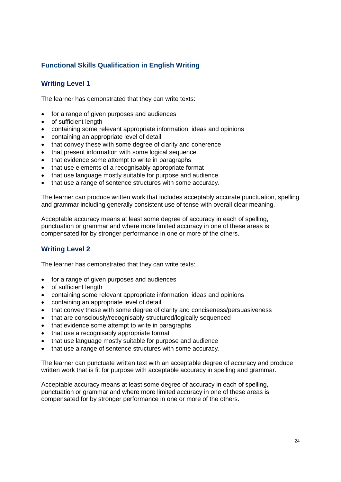### <span id="page-23-0"></span>**Functional Skills Qualification in English Writing**

### **Writing Level 1**

The learner has demonstrated that they can write texts:

- for a range of given purposes and audiences
- of sufficient length
- containing some relevant appropriate information, ideas and opinions
- containing an appropriate level of detail
- that convey these with some degree of clarity and coherence
- that present information with some logical sequence
- that evidence some attempt to write in paragraphs
- that use elements of a recognisably appropriate format
- that use language mostly suitable for purpose and audience
- that use a range of sentence structures with some accuracy.

The learner can produce written work that includes acceptably accurate punctuation, spelling and grammar including generally consistent use of tense with overall clear meaning.

Acceptable accuracy means at least some degree of accuracy in each of spelling, punctuation or grammar and where more limited accuracy in one of these areas is compensated for by stronger performance in one or more of the others.

### **Writing Level 2**

The learner has demonstrated that they can write texts:

- for a range of given purposes and audiences
- of sufficient length
- containing some relevant appropriate information, ideas and opinions
- containing an appropriate level of detail
- that convey these with some degree of clarity and conciseness/persuasiveness
- that are consciously/recognisably structured/logically sequenced
- that evidence some attempt to write in paragraphs
- that use a recognisably appropriate format
- that use language mostly suitable for purpose and audience
- that use a range of sentence structures with some accuracy.

The learner can punctuate written text with an acceptable degree of accuracy and produce written work that is fit for purpose with acceptable accuracy in spelling and grammar.

Acceptable accuracy means at least some degree of accuracy in each of spelling, punctuation or grammar and where more limited accuracy in one of these areas is compensated for by stronger performance in one or more of the others.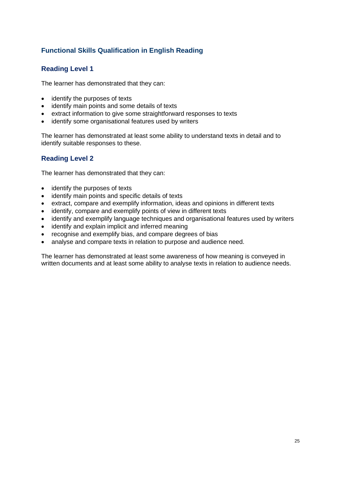### <span id="page-24-0"></span>**Functional Skills Qualification in English Reading**

### **Reading Level 1**

The learner has demonstrated that they can:

- identify the purposes of texts
- identify main points and some details of texts
- extract information to give some straightforward responses to texts
- identify some organisational features used by writers

The learner has demonstrated at least some ability to understand texts in detail and to identify suitable responses to these.

### **Reading Level 2**

The learner has demonstrated that they can:

- identify the purposes of texts
- identify main points and specific details of texts
- extract, compare and exemplify information, ideas and opinions in different texts
- identify, compare and exemplify points of view in different texts
- identify and exemplify language techniques and organisational features used by writers
- identify and explain implicit and inferred meaning
- recognise and exemplify bias, and compare degrees of bias
- analyse and compare texts in relation to purpose and audience need.

The learner has demonstrated at least some awareness of how meaning is conveyed in written documents and at least some ability to analyse texts in relation to audience needs.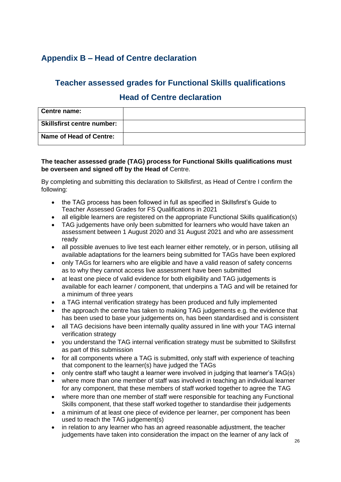### <span id="page-25-0"></span>**Appendix B – Head of Centre declaration**

### **Teacher assessed grades for Functional Skills qualifications**

### **Head of Centre declaration**

| Centre name:                      |  |
|-----------------------------------|--|
| <b>Skillsfirst centre number:</b> |  |
| Name of Head of Centre:           |  |

#### **The teacher assessed grade (TAG) process for Functional Skills qualifications must be overseen and signed off by the Head of** Centre.

By completing and submitting this declaration to Skillsfirst, as Head of Centre I confirm the following:

- the TAG process has been followed in full as specified in Skillsfirst's Guide to Teacher Assessed Grades for FS Qualifications in 2021
- all eligible learners are registered on the appropriate Functional Skills qualification(s)
- TAG judgements have only been submitted for learners who would have taken an assessment between 1 August 2020 and 31 August 2021 and who are assessment ready
- all possible avenues to live test each learner either remotely, or in person, utilising all available adaptations for the learners being submitted for TAGs have been explored
- only TAGs for learners who are eligible and have a valid reason of safety concerns as to why they cannot access live assessment have been submitted
- at least one piece of valid evidence for both eligibility and TAG judgements is available for each learner / component, that underpins a TAG and will be retained for a minimum of three years
- a TAG internal verification strategy has been produced and fully implemented
- the approach the centre has taken to making TAG judgements e.g. the evidence that has been used to base your judgements on, has been standardised and is consistent
- all TAG decisions have been internally quality assured in line with your TAG internal verification strategy
- you understand the TAG internal verification strategy must be submitted to Skillsfirst as part of this submission
- for all components where a TAG is submitted, only staff with experience of teaching that component to the learner(s) have judged the TAGs
- only centre staff who taught a learner were involved in judging that learner's TAG(s)
- where more than one member of staff was involved in teaching an individual learner for any component, that these members of staff worked together to agree the TAG
- where more than one member of staff were responsible for teaching any Functional Skills component, that these staff worked together to standardise their judgements
- a minimum of at least one piece of evidence per learner, per component has been used to reach the TAG judgement(s)
- in relation to any learner who has an agreed reasonable adjustment, the teacher judgements have taken into consideration the impact on the learner of any lack of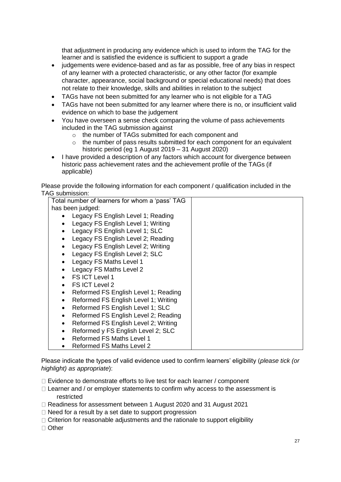that adjustment in producing any evidence which is used to inform the TAG for the learner and is satisfied the evidence is sufficient to support a grade

- judgements were evidence-based and as far as possible, free of any bias in respect of any learner with a protected characteristic, or any other factor (for example character, appearance, social background or special educational needs) that does not relate to their knowledge, skills and abilities in relation to the subject
- TAGs have not been submitted for any learner who is not eligible for a TAG
- TAGs have not been submitted for any learner where there is no, or insufficient valid evidence on which to base the judgement
- You have overseen a sense check comparing the volume of pass achievements included in the TAG submission against
	- o the number of TAGs submitted for each component and
	- $\circ$  the number of pass results submitted for each component for an equivalent historic period (eg 1 August 2019 – 31 August 2020)
- I have provided a description of any factors which account for divergence between historic pass achievement rates and the achievement profile of the TAGs (if applicable)

Please provide the following information for each component / qualification included in the TAG submission:

| Total number of learners for whom a 'pass' TAG  |  |  |  |
|-------------------------------------------------|--|--|--|
| has been judged:                                |  |  |  |
| Legacy FS English Level 1; Reading              |  |  |  |
| Legacy FS English Level 1; Writing              |  |  |  |
| Legacy FS English Level 1; SLC<br>$\bullet$     |  |  |  |
| Legacy FS English Level 2; Reading<br>$\bullet$ |  |  |  |
| Legacy FS English Level 2; Writing              |  |  |  |
| Legacy FS English Level 2; SLC                  |  |  |  |
| Legacy FS Maths Level 1                         |  |  |  |
| Legacy FS Maths Level 2                         |  |  |  |
| FS ICT Level 1                                  |  |  |  |
| FS ICT Level 2                                  |  |  |  |
| Reformed FS English Level 1; Reading            |  |  |  |
| Reformed FS English Level 1; Writing            |  |  |  |
| Reformed FS English Level 1; SLC                |  |  |  |
| Reformed FS English Level 2; Reading            |  |  |  |
| Reformed FS English Level 2; Writing            |  |  |  |
| Reformed y FS English Level 2; SLC              |  |  |  |
| <b>Reformed FS Maths Level 1</b>                |  |  |  |
| <b>Reformed FS Maths Level 2</b>                |  |  |  |

Please indicate the types of valid evidence used to confirm learners' eligibility (*please tick (or highlight) as appropriate*):

- $\Box$  Evidence to demonstrate efforts to live test for each learner / component
- $\Box$  Learner and / or employer statements to confirm why access to the assessment is restricted
- Readiness for assessment between 1 August 2020 and 31 August 2021
- $\Box$  Need for a result by a set date to support progression
- $\Box$  Criterion for reasonable adjustments and the rationale to support eligibility

□ Other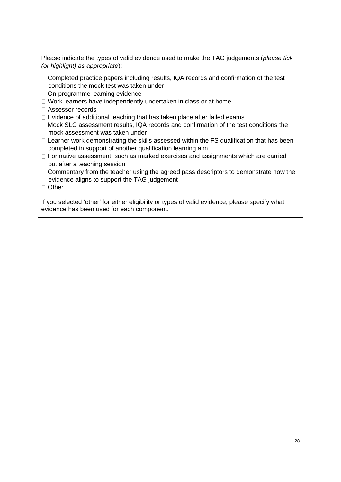Please indicate the types of valid evidence used to make the TAG judgements (*please tick (or highlight) as appropriate*):

- $\Box$  Completed practice papers including results, IQA records and confirmation of the test conditions the mock test was taken under
- □ On-programme learning evidence
- □ Work learners have independently undertaken in class or at home
- □ Assessor records
- $\Box$  Evidence of additional teaching that has taken place after failed exams
- □ Mock SLC assessment results, IQA records and confirmation of the test conditions the mock assessment was taken under
- $\Box$  Learner work demonstrating the skills assessed within the FS qualification that has been completed in support of another qualification learning aim
- □ Formative assessment, such as marked exercises and assignments which are carried out after a teaching session
- $\Box$  Commentary from the teacher using the agreed pass descriptors to demonstrate how the evidence aligns to support the TAG judgement
- □ Other

If you selected 'other' for either eligibility or types of valid evidence, please specify what evidence has been used for each component.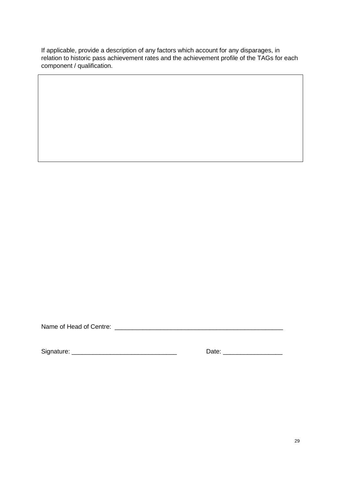If applicable, provide a description of any factors which account for any disparages, in relation to historic pass achievement rates and the achievement profile of the TAGs for each component / qualification.

Name of Head of Centre: \_\_\_\_\_\_\_\_\_\_\_\_\_\_\_\_\_\_\_\_\_\_\_\_\_\_\_\_\_\_\_\_\_\_\_\_\_\_\_\_\_\_\_\_\_\_\_\_

Signature: \_\_\_\_\_\_\_\_\_\_\_\_\_\_\_\_\_\_\_\_\_\_\_\_\_\_\_\_\_\_ Date: \_\_\_\_\_\_\_\_\_\_\_\_\_\_\_\_\_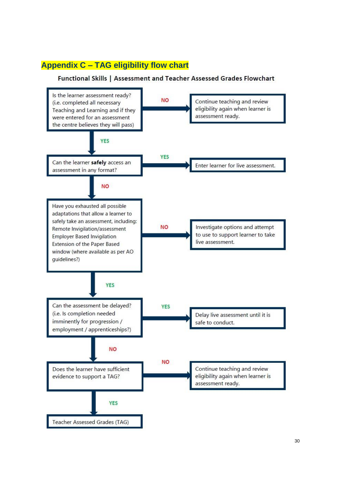### <span id="page-29-0"></span>**Appendix C – TAG eligibility flow chart**

#### Functional Skills | Assessment and Teacher Assessed Grades Flowchart

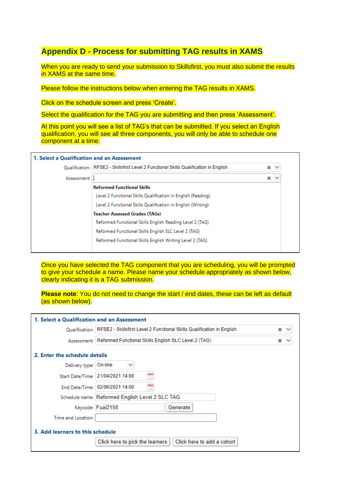### **Appendix D - Process for submitting TAG results in XAMS**

When you are ready to send your submission to Skillsfirst, you must also submit the results in XAMS at the same time.

Please follow the instructions below when entering the TAG results in XAMS.

Click on the schedule screen and press 'Create'.

Select the qualification for the TAG you are submitting and then press 'Assessment'.

At this point you will see a list of TAG's that can be submitted. If you select an English qualification, you will see all three components, you will only be able to schedule one component at a time.

|             | Oualification: RFSE2 - Skillsfirst Level 2 Functional Skills Qualification in English | × | $\checkmark$ |
|-------------|---------------------------------------------------------------------------------------|---|--------------|
| Assessment: |                                                                                       | × | $\checkmark$ |
|             | <b>Reformed Functional Skills</b>                                                     |   |              |
|             | Level 2 Functional Skills Qualification in English (Reading)                          |   |              |
|             | Level 2 Functional Skills Qualification in English (Writing)                          |   |              |
|             | <b>Teacher Assessed Grades (TAGs)</b>                                                 |   |              |
|             | Reformed Functional Skills English Reading Level 2 (TAG)                              |   |              |
|             | Reformed Functional Skills English SLC Level 2 (TAG)                                  |   |              |
|             | Reformed Functional Skills English Writing Level 2 (TAG)                              |   |              |

Once you have selected the TAG component that you are scheduling, you will be prompted to give your schedule a name. Please name your schedule appropriately as shown below, clearly indicating it is a TAG submission.

**Please note**: You do not need to change the start / end dates, these can be left as default (as shown below).

| 1. Select a Qualification and an Assessment                                           |                                                                  |                 |  |  |  |
|---------------------------------------------------------------------------------------|------------------------------------------------------------------|-----------------|--|--|--|
| Oualification: RFSE2 - Skillsfirst Level 2 Functional Skills Qualification in English |                                                                  |                 |  |  |  |
|                                                                                       | Assessment: Reformed Functional Skills English SLC Level 2 (TAG) | $\times$ $\sim$ |  |  |  |
| 2. Enter the schedule details                                                         |                                                                  |                 |  |  |  |
| Delivery type: On-line                                                                |                                                                  |                 |  |  |  |
|                                                                                       | ₩<br>Start Date/Time: 21/04/2021 14:00                           |                 |  |  |  |
|                                                                                       | H<br>End Date/Time: 02/06/2021 14:00                             |                 |  |  |  |
| Schedule name: Reformed English Level 2 SLC TAG                                       |                                                                  |                 |  |  |  |
|                                                                                       | Keycode: Fuai2158<br>Generate                                    |                 |  |  |  |
| Time and Location:                                                                    |                                                                  |                 |  |  |  |
| 3. Add learners to this schedule                                                      |                                                                  |                 |  |  |  |
|                                                                                       | Click here to add a cohort<br>Click here to pick the learners    |                 |  |  |  |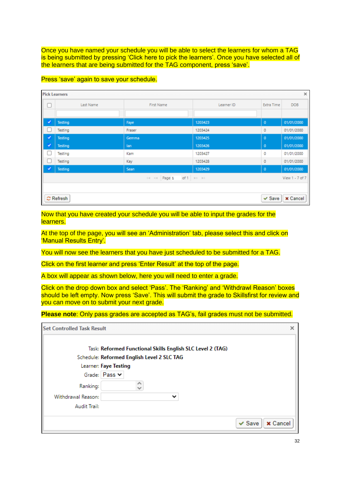Once you have named your schedule you will be able to select the learners for whom a TAG is being submitted by pressing 'Click here to pick the learners'. Once you have selected all of the learners that are being submitted for the TAG component, press 'save'.

| <b>Pick Learners</b><br>$\times$ |                                                                     |            |            |             |            |  |  |
|----------------------------------|---------------------------------------------------------------------|------------|------------|-------------|------------|--|--|
| $\Box$<br>Last Name              |                                                                     | First Name | Learner ID | Extra Time  | <b>DOB</b> |  |  |
|                                  |                                                                     |            |            |             |            |  |  |
| ✓                                | Testing                                                             | Faye       | 1203423    | $\mathbf 0$ | 01/01/2000 |  |  |
| L                                | Testing                                                             | Fraser     | 1203424    | 0           | 01/01/2000 |  |  |
| ✓                                | Testing                                                             | Gemma      | 1203425    | $\mathbf 0$ | 01/01/2000 |  |  |
| v                                | <b>Testing</b>                                                      | lan        | 1203426    | $\mathbf 0$ | 01/01/2000 |  |  |
|                                  | Testing                                                             | Kam        | 1203427    | 0           | 01/01/2000 |  |  |
| U                                | Testing                                                             | Kay        | 1203428    | 0           | 01/01/2000 |  |  |
| ✓                                | Testing                                                             | Sean       | 1203429    | $\bf{0}$    | 01/01/2000 |  |  |
|                                  | of 1 $\Rightarrow$ $\Rightarrow$<br>IN KN Page 1<br>View 1 - 7 of 7 |            |            |             |            |  |  |
|                                  |                                                                     |            |            |             |            |  |  |
|                                  | $\mathbb C$ Refresh<br>$\times$ Cancel<br>$\vee$ Save               |            |            |             |            |  |  |

#### Press 'save' again to save your schedule.

Now that you have created your schedule you will be able to input the grades for the learners.

At the top of the page, you will see an 'Administration' tab, please select this and click on 'Manual Results Entry'.

You will now see the learners that you have just scheduled to be submitted for a TAG.

Click on the first learner and press 'Enter Result' at the top of the page.

A box will appear as shown below, here you will need to enter a grade.

Click on the drop down box and select 'Pass'. The 'Ranking' and 'Withdrawl Reason' boxes should be left empty. Now press 'Save'. This will submit the grade to Skillsfirst for review and you can move on to submit your next grade.

**Please note**: Only pass grades are accepted as TAG's, fail grades must not be submitted.

| <b>Set Controlled Task Result</b> |                                                            | × |
|-----------------------------------|------------------------------------------------------------|---|
|                                   | Task: Reformed Functional Skills English SLC Level 2 (TAG) |   |
|                                   | Schedule: Reformed English Level 2 SLC TAG                 |   |
|                                   | Learner: Faye Testing                                      |   |
|                                   | Grade: Pass v                                              |   |
| Ranking:                          |                                                            |   |
| Withdrawal Reason:                | $\check{ }$                                                |   |
| Audit Trail:                      |                                                            |   |
|                                   | $\vee$ Save<br><b>x</b> Cancel                             |   |